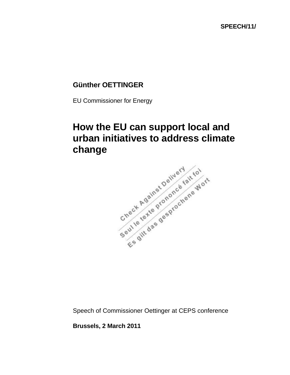## **Günther OETTINGER**

EU Commissioner for Energy

## **How the EU can support local and change**



Speech of Commissioner Oettinger at CEPS conference

**Brussels, 2 March 2011**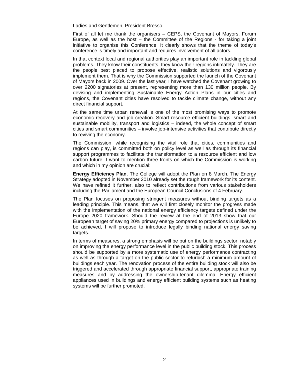Ladies and Gentlemen, President Bresso,

First of all let me thank the organisers – CEPS, the Covenant of Mayors, Forum Europe, as well as the host – the Committee of the Regions - for taking a joint initiative to organise this Conference. It clearly shows that the theme of today's conference is timely and important and requires involvement of all actors.

In that context local and regional authorities play an important role in tackling global problems. They know their constituents, they know their regions intimately. They are the people best placed to propose effective, realistic solutions and vigorously implement them. That is why the Commission supported the launch of the Covenant of Mayors back in 2009. Over the last year*,* I have watched the Covenant growing to over 2200 signatories at present, representing more than 130 million people. By devising and implementing Sustainable Energy Action Plans in our cities and regions, the Covenant cities have resolved to tackle climate change, without any direct financial support.

At the same time urban renewal is one of the most promising ways to promote economic recovery and job creation. Smart resource efficient buildings, smart and sustainable mobility, transport and logistics – indeed, the whole concept of smart cities and smart communities – involve job-intensive activities that contribute directly to reviving the economy.

The Commission, while recognising the vital role that cities, communities and regions can play, is committed both on policy level as well as through its financial support programmes to facilitate the transformation to a resource efficient and low carbon future. I want to mention three fronts on which the Commission is working and which in my opinion are crucial:

**Energy Efficiency Plan**. The College will adopt the Plan on 8 March. The Energy Strategy adopted in November 2010 already set the rough framework for its content. We have refined it further, also to reflect contributions from various stakeholders including the Parliament and the European Council Conclusions of 4 February.

The Plan focuses on proposing stringent measures without binding targets as a leading principle. This means, that we will first closely monitor the progress made with the implementation of the national energy efficiency targets defined under the Europe 2020 framework. Should the review at the end of 2013 show that our European target of saving 20% primary energy compared to projections is unlikely to be achieved, I will propose to introduce legally binding national energy saving targets.

In terms of measures, a strong emphasis will be put on the buildings sector, notably on improving the energy performance level in the public building stock. This process should be supported by a more systematic use of energy performance contracting as well as through a target on the public sector to refurbish a minimum amount of buildings each year. The renovation process of the entire building stock will also be triggered and accelerated through appropriate financial support, appropriate training measures and by addressing the ownership-tenant dilemma. Energy efficient appliances used in buildings and energy efficient building systems such as heating systems will be further promoted.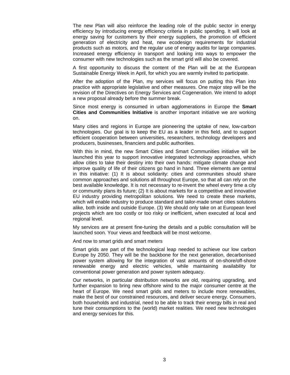The new Plan will also reinforce the leading role of the public sector in energy efficiency by introducing energy efficiency criteria in public spending. It will look at energy saving for customers by their energy suppliers, the promotion of efficient generation of electricity and heat, new ecodesign requirements for industrial products such as motors, and the regular use of energy audits for large companies. Increased energy efficiency in transport and looking into ways to empower the consumer with new technologies such as the smart grid will also be covered.

A first opportunity to discuss the content of the Plan will be at the European Sustainable Energy Week in April, for which you are warmly invited to participate.

After the adoption of the Plan, my services will focus on putting this Plan into practice with appropriate legislative and other measures. One major step will be the revision of the Directives on Energy Services and Cogeneration. We intend to adopt a new proposal already before the summer break.

Since most energy is consumed in urban agglomerations in Europe the **Smart Cities and Communities Initiative** is another important initiative we are working on.

Many cities and regions in Europe are pioneering the uptake of new, low-carbon technologies. Our goal is to keep the EU as a leader in this field, and to support efficient cooperation between universities, researchers, technology developers and producers, businesses, financiers and public authorities.

With this in mind, the new Smart Cities and Smart Communities initiative will be launched this year to support innovative integrated technology approaches, which allow cities to take their destiny into their own hands: mitigate climate change and improve quality of life of their citizens go hand in hand. Three elements are central in this initiative: (1) It is about solidarity: cities and communities should share common approaches and solutions all throughout Europe, so that all can rely on the best available knowledge. It is not necessary to re-invent the wheel every time a city or community plans its future; (2) It is about markets for a competitive and innovative EU industry providing metropolitan solutions. We need to create these markets, which will enable industry to produce standard and tailor-made smart cities solutions alike, both inside and outside Europe. (3) We should only take on at European level projects which are too costly or too risky or inefficient, when executed at local and regional level.

My services are at present fine-tuning the details and a public consultation will be launched soon. Your views and feedback will be most welcome.

And now to smart grids and smart meters

Smart grids are part of the technological leap needed to achieve our low carbon Europe by 2050. They will be the backbone for the next generation, decarbonised power system allowing for the integration of vast amounts of on-shore/off-shore renewable energy and electric vehicles, while maintaining availability for conventional power generation and power system adequacy.

Our networks, in particular distribution networks are old, requiring upgrading, and further expansion to bring new offshore wind to the major consumer centre at the heart of Europe. We need smart grids and meters to include more renewables, make the best of our constrained resources, and deliver secure energy. Consumers, both households and industrial, need to be able to track their energy bills in real and tune their consumptions to the (world) market realities. We need new technologies and energy services for this.